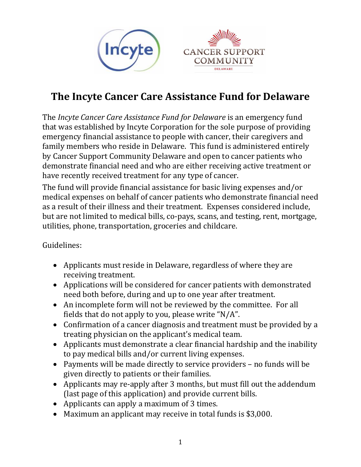



# **The Incyte Cancer Care Assistance Fund for Delaware**

The *Incyte Cancer Care Assistance Fund for Delaware* is an emergency fund that was established by Incyte Corporation for the sole purpose of providing emergency financial assistance to people with cancer, their caregivers and family members who reside in Delaware. This fund is administered entirely by Cancer Support Community Delaware and open to cancer patients who demonstrate financial need and who are either receiving active treatment or have recently received treatment for any type of cancer.

The fund will provide financial assistance for basic living expenses and/or medical expenses on behalf of cancer patients who demonstrate financial need as a result of their illness and their treatment. Expenses considered include, but are not limited to medical bills, co-pays, scans, and testing, rent, mortgage, utilities, phone, transportation, groceries and childcare.

Guidelines:

- Applicants must reside in Delaware, regardless of where they are receiving treatment.
- Applications will be considered for cancer patients with demonstrated need both before, during and up to one year after treatment.
- An incomplete form will not be reviewed by the committee. For all fields that do not apply to you, please write "N/A".
- Confirmation of a cancer diagnosis and treatment must be provided by a treating physician on the applicant's medical team.
- Applicants must demonstrate a clear financial hardship and the inability to pay medical bills and/or current living expenses.
- Payments will be made directly to service providers no funds will be given directly to patients or their families.
- Applicants may re-apply after 3 months, but must fill out the addendum (last page of this application) and provide current bills.
- Applicants can apply a maximum of 3 times.
- Maximum an applicant may receive in total funds is \$3,000.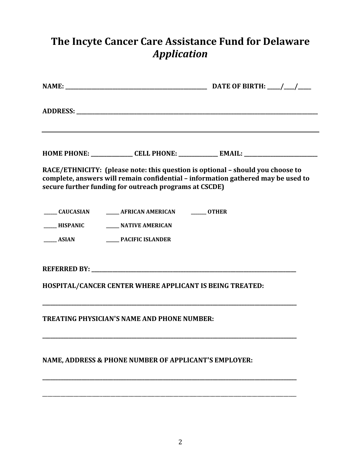# **The Incyte Cancer Care Assistance Fund for Delaware** *Application*

|                                                                                 |                                                          | HOME PHONE: _______________ CELL PHONE: _____________ EMAIL: ___________________                                                                                   |
|---------------------------------------------------------------------------------|----------------------------------------------------------|--------------------------------------------------------------------------------------------------------------------------------------------------------------------|
|                                                                                 | secure further funding for outreach programs at CSCDE)   | RACE/ETHNICITY: (please note: this question is optional - should you choose to<br>complete, answers will remain confidential - information gathered may be used to |
| _____ HISPANIC _______ NATIVE AMERICAN<br>_____ ASIAN ________ PACIFIC ISLANDER | _____ CAUCASIAN _______ AFRICAN AMERICAN ______ OTHER    |                                                                                                                                                                    |
|                                                                                 |                                                          |                                                                                                                                                                    |
|                                                                                 | HOSPITAL/CANCER CENTER WHERE APPLICANT IS BEING TREATED: |                                                                                                                                                                    |
|                                                                                 | <b>TREATING PHYSICIAN'S NAME AND PHONE NUMBER:</b>       |                                                                                                                                                                    |
|                                                                                 | NAME, ADDRESS & PHONE NUMBER OF APPLICANT'S EMPLOYER:    |                                                                                                                                                                    |
|                                                                                 |                                                          |                                                                                                                                                                    |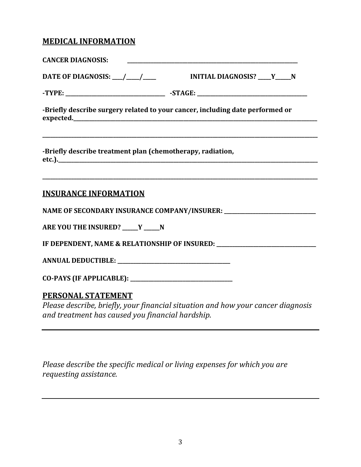### **MEDICAL INFORMATION**

|                                                            | -Briefly describe surgery related to your cancer, including date performed or     |
|------------------------------------------------------------|-----------------------------------------------------------------------------------|
| -Briefly describe treatment plan (chemotherapy, radiation, | ,我们也不能在这里的人,我们也不能在这里的人,我们也不能在这里的人,我们也不能在这里的人,我们也不能在这里的人,我们也不能在这里的人,我们也不能在这里的人,我们也 |
| <b>INSURANCE INFORMATION</b>                               |                                                                                   |
|                                                            |                                                                                   |
| ARE YOU THE INSURED? ____ Y ____ N                         |                                                                                   |
|                                                            | IF DEPENDENT, NAME & RELATIONSHIP OF INSURED: __________________________________  |
|                                                            |                                                                                   |
|                                                            |                                                                                   |
|                                                            |                                                                                   |

#### **PERSONAL STATEMENT**

*Please describe, briefly, your financial situation and how your cancer diagnosis and treatment has caused you financial hardship.*

*Please describe the specific medical or living expenses for which you are requesting assistance.*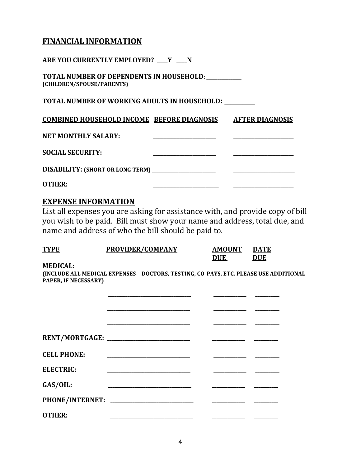#### **FINANCIAL INFORMATION**

**ARE YOU CURRENTLY EMPLOYED? \_\_\_\_Y \_\_\_\_N TOTAL NUMBER OF DEPENDENTS IN HOUSEHOLD: \_\_\_\_\_\_\_\_\_\_\_\_\_\_\_\_ (CHILDREN/SPOUSE/PARENTS) TOTAL NUMBER OF WORKING ADULTS IN HOUSEHOLD: \_\_\_\_\_\_\_\_\_\_ COMBINED HOUSEHOLD INCOME BEFORE DIAGNOSIS AFTER DIAGNOSIS NET MONTHLY SALARY: \_\_\_\_\_\_\_\_\_\_\_\_\_\_\_\_\_\_\_\_\_\_\_\_ \_\_\_\_\_\_\_\_\_\_\_\_\_\_\_\_\_\_\_\_\_\_\_ SOCIAL SECURITY: \_\_\_\_\_\_\_\_\_\_\_\_\_\_\_\_\_\_\_\_\_\_\_\_ \_\_\_\_\_\_\_\_\_\_\_\_\_\_\_\_\_\_\_\_\_\_\_ DISABILITY: (SHORT OR LONG TERM) \_\_\_\_\_\_\_\_\_\_\_\_\_\_\_\_\_\_\_\_\_\_\_\_\_\_\_\_\_ \_\_\_\_\_\_\_\_\_\_\_\_\_\_\_\_\_\_\_\_\_\_\_\_\_\_\_\_ OTHER: \_\_\_\_\_\_\_\_\_\_\_\_\_\_\_\_\_\_\_\_\_\_\_\_\_ \_\_\_\_\_\_\_\_\_\_\_\_\_\_\_\_\_\_\_\_\_\_\_**

#### **EXPENSE INFORMATION**

List all expenses you are asking for assistance with, and provide copy of bill you wish to be paid. Bill must show your name and address, total due, and name and address of who the bill should be paid to.

| <b>TYPE</b>     | PROVIDER/COMPANY | <b>AMOUNT</b> | <b>DATE</b> |
|-----------------|------------------|---------------|-------------|
|                 |                  | <b>DUE</b>    | <b>DUE</b>  |
| <b>MEDICAL:</b> |                  |               |             |

**(INCLUDE ALL MEDICAL EXPENSES – DOCTORS, TESTING, CO-PAYS, ETC. PLEASE USE ADDITIONAL PAPER, IF NECESSARY)**

| <b>CELL PHONE:</b> |                                                |  |
|--------------------|------------------------------------------------|--|
| <b>ELECTRIC:</b>   |                                                |  |
| GAS/OIL:           |                                                |  |
|                    | PHONE/INTERNET: ______________________________ |  |
| <b>OTHER:</b>      |                                                |  |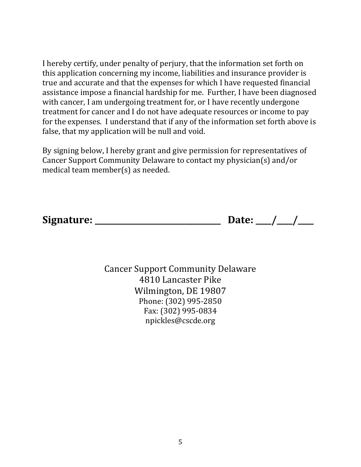I hereby certify, under penalty of perjury, that the information set forth on this application concerning my income, liabilities and insurance provider is true and accurate and that the expenses for which I have requested financial assistance impose a financial hardship for me. Further, I have been diagnosed with cancer, I am undergoing treatment for, or I have recently undergone treatment for cancer and I do not have adequate resources or income to pay for the expenses. I understand that if any of the information set forth above is false, that my application will be null and void.

By signing below, I hereby grant and give permission for representatives of Cancer Support Community Delaware to contact my physician(s) and/or medical team member(s) as needed.

**Signature: \_\_\_\_\_\_\_\_\_\_\_\_\_\_\_\_\_\_\_\_\_\_\_\_\_\_\_\_\_\_\_\_ Date: \_\_\_\_/\_\_\_\_/\_\_\_\_**

Cancer Support Community Delaware 4810 Lancaster Pike Wilmington, DE 19807 Phone: (302) 995-2850 Fax: (302) 995-0834 npickles@cscde.org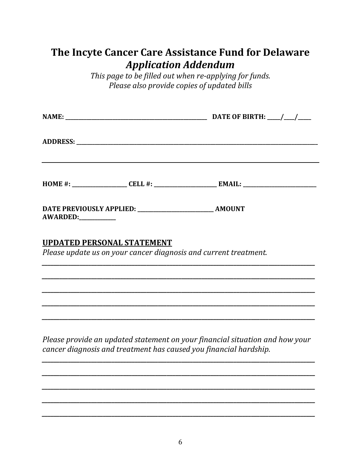## The Incyte Cancer Care Assistance Fund for Delaware **Application Addendum**

This page to be filled out when re-applying for funds. Please also provide copies of updated bills

|                                                                                                                       |  | DATE OF BIRTH: $\frac{1}{\frac{1}{2}}$ |
|-----------------------------------------------------------------------------------------------------------------------|--|----------------------------------------|
|                                                                                                                       |  |                                        |
|                                                                                                                       |  |                                        |
| <u> 1989 - Johann Stoff, deutscher Stoff, der Stoff, der Stoff, der Stoff, der Stoff, der Stoff, der Stoff, der S</u> |  |                                        |
|                                                                                                                       |  |                                        |
|                                                                                                                       |  |                                        |
|                                                                                                                       |  |                                        |
| AWARDED:                                                                                                              |  |                                        |
|                                                                                                                       |  |                                        |

### **UPDATED PERSONAL STATEMENT**

Please update us on your cancer diagnosis and current treatment.

Please provide an updated statement on your financial situation and how your cancer diagnosis and treatment has caused you financial hardship.